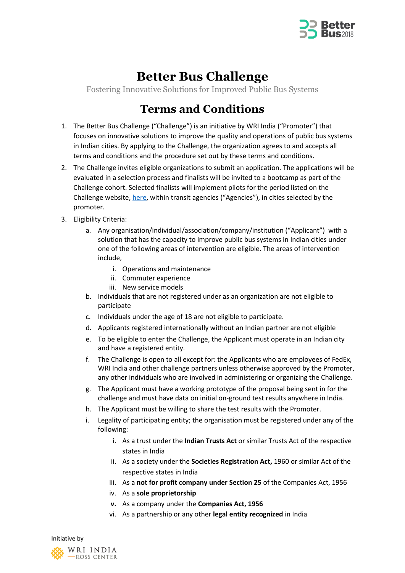

## **Better Bus Challenge**

Fostering Innovative Solutions for Improved Public Bus Systems

## **Terms and Conditions**

- 1. The Better Bus Challenge ("Challenge") is an initiative by WRI India ("Promoter") that focuses on innovative solutions to improve the quality and operations of public bus systems in Indian cities. By applying to the Challenge, the organization agrees to and accepts all terms and conditions and the procedure set out by these terms and conditions.
- 2. The Challenge invites eligible organizations to submit an application. The applications will be evaluated in a selection process and finalists will be invited to a bootcamp as part of the Challenge cohort. Selected finalists will implement pilots for the period listed on the Challenge website[, here,](http://wricitieshub.org/betterbuschallenge) within transit agencies ("Agencies"), in cities selected by the promoter.
- 3. Eligibility Criteria:
	- a. Any organisation/individual/association/company/institution ("Applicant") with a solution that has the capacity to improve public bus systems in Indian cities under one of the following areas of intervention are eligible. The areas of intervention include,
		- i. Operations and maintenance
		- ii. Commuter experience
		- iii. New service models
	- b. Individuals that are not registered under as an organization are not eligible to participate
	- c. Individuals under the age of 18 are not eligible to participate.
	- d. Applicants registered internationally without an Indian partner are not eligible
	- e. To be eligible to enter the Challenge, the Applicant must operate in an Indian city and have a registered entity.
	- f. The Challenge is open to all except for: the Applicants who are employees of FedEx, WRI India and other challenge partners unless otherwise approved by the Promoter, any other individuals who are involved in administering or organizing the Challenge.
	- g. The Applicant must have a working prototype of the proposal being sent in for the challenge and must have data on initial on-ground test results anywhere in India.
	- h. The Applicant must be willing to share the test results with the Promoter.
	- i. Legality of participating entity; the organisation must be registered under any of the following:
		- i. As a trust under the **Indian Trusts Act** or similar Trusts Act of the respective states in India
		- ii. As a society under the **Societies Registration Act,** 1960 or similar Act of the respective states in India
		- iii. As a **not for profit company under Section 25** of the Companies Act, 1956
		- iv. As a **sole proprietorship**
		- **v.** As a company under the **Companies Act, 1956**
		- vi. As a partnership or any other **legal entity recognized** in India

Initiative by WRI INDIA -ROSS CENTER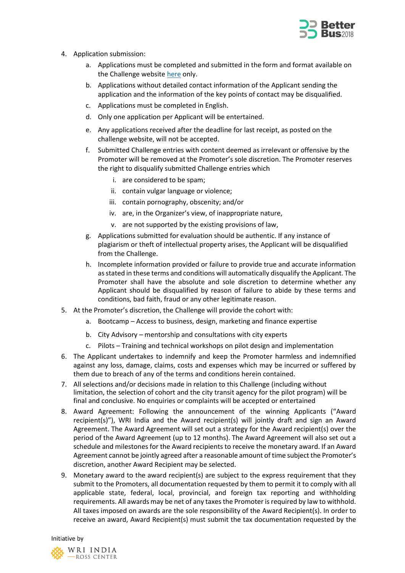

- 4. Application submission:
	- a. Applications must be completed and submitted in the form and format available on the Challenge website [here](https://www.f6s.com/betterbuschallenge/apply) only.
	- b. Applications without detailed contact information of the Applicant sending the application and the information of the key points of contact may be disqualified.
	- c. Applications must be completed in English.
	- d. Only one application per Applicant will be entertained.
	- e. Any applications received after the deadline for last receipt, as posted on the challenge website, will not be accepted.
	- f. Submitted Challenge entries with content deemed as irrelevant or offensive by the Promoter will be removed at the Promoter's sole discretion. The Promoter reserves the right to disqualify submitted Challenge entries which
		- i. are considered to be spam;
		- ii. contain vulgar language or violence;
		- iii. contain pornography, obscenity; and/or
		- iv. are, in the Organizer's view, of inappropriate nature,
		- v. are not supported by the existing provisions of law,
	- g. Applications submitted for evaluation should be authentic. If any instance of plagiarism or theft of intellectual property arises, the Applicant will be disqualified from the Challenge.
	- h. Incomplete information provided or failure to provide true and accurate information as stated in these terms and conditions will automatically disqualify the Applicant. The Promoter shall have the absolute and sole discretion to determine whether any Applicant should be disqualified by reason of failure to abide by these terms and conditions, bad faith, fraud or any other legitimate reason.
- 5. At the Promoter's discretion, the Challenge will provide the cohort with:
	- a. Bootcamp Access to business, design, marketing and finance expertise
	- b. City Advisory mentorship and consultations with city experts
	- c. Pilots Training and technical workshops on pilot design and implementation
- 6. The Applicant undertakes to indemnify and keep the Promoter harmless and indemnified against any loss, damage, claims, costs and expenses which may be incurred or suffered by them due to breach of any of the terms and conditions herein contained.
- 7. All selections and/or decisions made in relation to this Challenge (including without limitation, the selection of cohort and the city transit agency for the pilot program) will be final and conclusive. No enquiries or complaints will be accepted or entertained
- 8. Award Agreement: Following the announcement of the winning Applicants ("Award recipient(s)"), WRI India and the Award recipient(s) will jointly draft and sign an Award Agreement. The Award Agreement will set out a strategy for the Award recipient(s) over the period of the Award Agreement (up to 12 months). The Award Agreement will also set out a schedule and milestones for the Award recipients to receive the monetary award. If an Award Agreement cannot be jointly agreed after a reasonable amount of time subject the Promoter's discretion, another Award Recipient may be selected.
- 9. Monetary award to the award recipient(s) are subject to the express requirement that they submit to the Promoters, all documentation requested by them to permit it to comply with all applicable state, federal, local, provincial, and foreign tax reporting and withholding requirements. All awards may be net of any taxes the Promoter is required by law to withhold. All taxes imposed on awards are the sole responsibility of the Award Recipient(s). In order to receive an award, Award Recipient(s) must submit the tax documentation requested by the

Initiative by

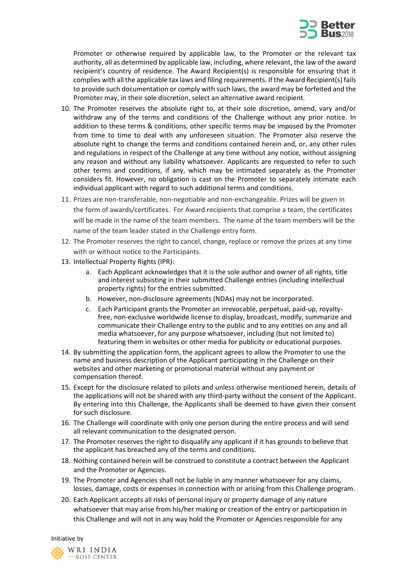

Promoter or otherwise required by applicable law, to the Promoter or the relevant tax authority, all as determined by applicable law, including, where relevant, the law of the award recipient's country of residence. The Award Recipient(s) is responsible for ensuring that it complies with all the applicable tax laws and filing requirements. If the Award Recipient(s) fails to provide such documentation or comply with such laws, the award may be forfeited and the Promoter may, in their sole discretion, select an alternative award recipient.

- 10. The Promoter reserves the absolute right to, at their sole discretion, amend, vary and/or withdraw any of the terms and conditions of the Challenge without any prior notice. In addition to these terms & conditions, other specific terms may be imposed by the Promoter from time to time to deal with any unforeseen situation. The Promoter also reserve the absolute right to change the terms and conditions contained herein and, or, any other rules and regulations in respect of the Challenge at any time without any notice, without assigning any reason and without any liability whatsoever. Applicants are requested to refer to such other terms and conditions, if any, which may be intimated separately as the Promoter considers fit. However, no obligation is cast on the Promoter to separately intimate each individual applicant with regard to such additional terms and conditions.
- 11. Prizes are non-transferable, non-negotiable and non-exchangeable. Prizes will be given in the form of awards/certificates. For Award recipients that comprise a team, the certificates will be made in the name of the team members. The name of the team members will be the name of the team leader stated in the Challenge entry form.
- 12. The Promoter reserves the right to cancel, change, replace or remove the prizes at any time with or without notice to the Participants.
- 13. Intellectual Property Rights (IPR):
	- a. Each Applicant acknowledges that it is the sole author and owner of all rights, title and interest subsisting in their submitted Challenge entries (including intellectual property rights) for the entries submitted.
	- b. However, non-disclosure agreements (NDAs) may not be incorporated.
	- c. Each Participant grants the Promoter an irrevocable, perpetual, paid-up, royaltyfree, non-exclusive worldwide license to display, broadcast, modify, summarize and communicate their Challenge entry to the public and to any entities on any and all media whatsoever, for any purpose whatsoever, including (but not limited to) featuring them in websites or other media for publicity or educational purposes.
- 14. By submitting the application form, the applicant agrees to allow the Promoter to use the name and business description of the Applicant participating in the Challenge on their websites and other marketing or promotional material without any payment or compensation thereof.
- 15. Except for the disclosure related to pilots and unless otherwise mentioned herein, details of the applications will not be shared with any third-party without the consent of the Applicant. By entering into this Challenge, the Applicants shall be deemed to have given their consent for such disclosure.
- 16. The Challenge will coordinate with only one person during the entire process and will send all relevant communication to the designated person.
- 17. The Promoter reserves the right to disqualify any applicant if it has grounds to believe that the applicant has breached any of the terms and conditions.
- 18. Nothing contained herein will be construed to constitute a contract between the Applicant and the Promoter or Agencies.
- 19. The Promoter and Agencies shall not be liable in any manner whatsoever for any claims, losses, damage, costs or expenses in connection with or arising from this Challenge program.
- 20. Each Applicant accepts all risks of personal injury or property damage of any nature whatsoever that may arise from his/her making or creation of the entry or participation in this Challenge and will not in any way hold the Promoter or Agencies responsible for any

Initiative by